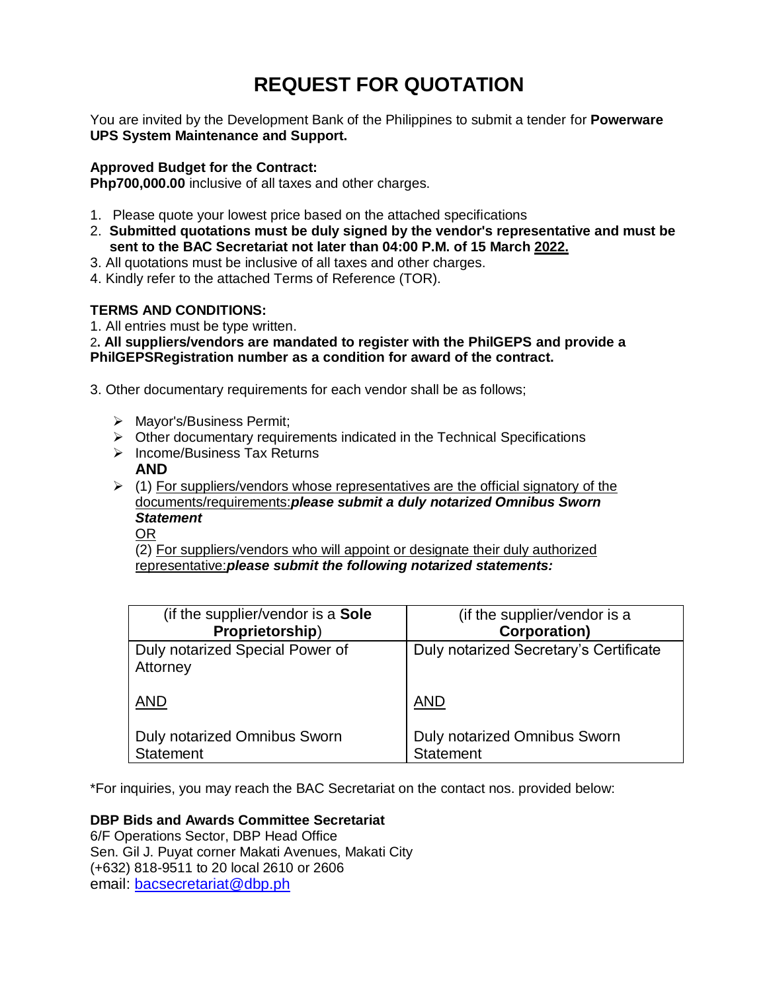# **REQUEST FOR QUOTATION**

You are invited by the Development Bank of the Philippines to submit a tender for **Powerware UPS System Maintenance and Support.**

# **Approved Budget for the Contract:**

**Php700,000.00** inclusive of all taxes and other charges.

- 1. Please quote your lowest price based on the attached specifications
- 2. **Submitted quotations must be duly signed by the vendor's representative and must be sent to the BAC Secretariat not later than 04:00 P.M. of 15 March 2022.**
- 3. All quotations must be inclusive of all taxes and other charges.
- 4. Kindly refer to the attached Terms of Reference (TOR).

# **TERMS AND CONDITIONS:**

1. All entries must be type written.

2**. All suppliers/vendors are mandated to register with the PhilGEPS and provide a PhilGEPSRegistration number as a condition for award of the contract.**

3. Other documentary requirements for each vendor shall be as follows;

- Mayor's/Business Permit;
- $\triangleright$  Other documentary requirements indicated in the Technical Specifications
- $\triangleright$  Income/Business Tax Returns
- **AND**
- $\triangleright$  (1) For suppliers/vendors whose representatives are the official signatory of the documents/requirements:*please submit a duly notarized Omnibus Sworn Statement*

OR

(2) For suppliers/vendors who will appoint or designate their duly authorized representative:*please submit the following notarized statements:*

| (if the supplier/vendor is a <b>Sole</b> )  | (if the supplier/vendor is a           |
|---------------------------------------------|----------------------------------------|
| Proprietorship)                             | <b>Corporation)</b>                    |
| Duly notarized Special Power of<br>Attorney | Duly notarized Secretary's Certificate |
| <b>AND</b>                                  | <b>AND</b>                             |
| <b>Duly notarized Omnibus Sworn</b>         | <b>Duly notarized Omnibus Sworn</b>    |
| <b>Statement</b>                            | <b>Statement</b>                       |

\*For inquiries, you may reach the BAC Secretariat on the contact nos. provided below:

**DBP Bids and Awards Committee Secretariat** 

6/F Operations Sector, DBP Head Office Sen. Gil J. Puyat corner Makati Avenues, Makati City (+632) 818-9511 to 20 local 2610 or 2606 email: [bacsecretariat@dbp.ph](mailto:bacsecretariat@dbp.ph)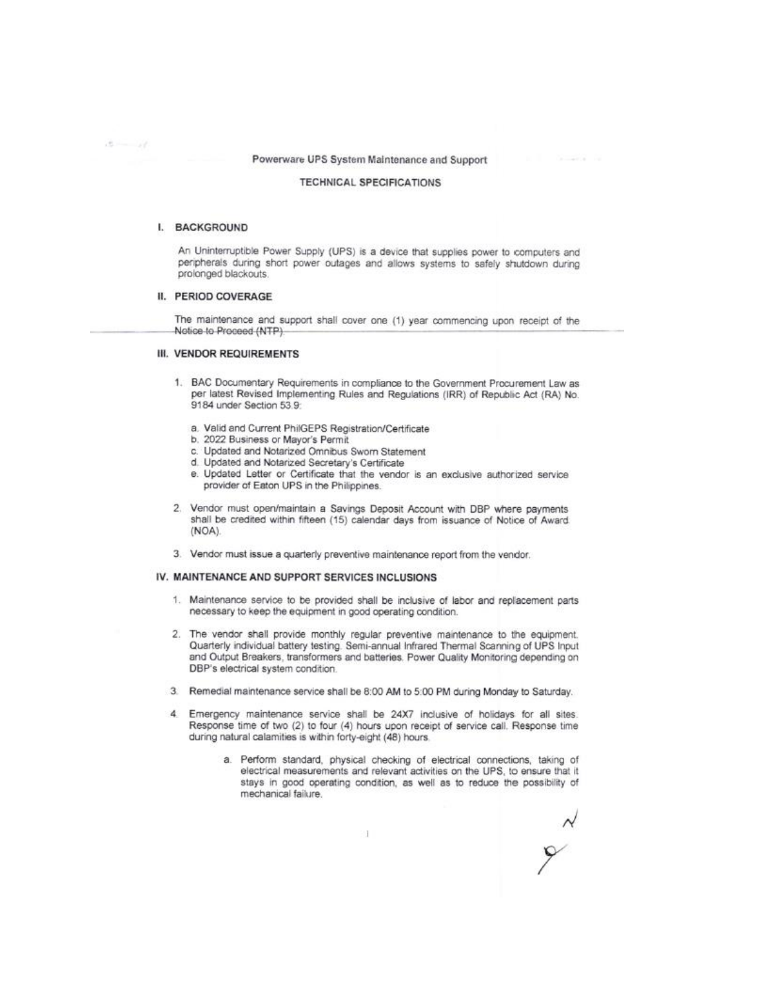# Powerware UPS System Maintenance and Support

#### **TECHNICAL SPECIFICATIONS**

# I. BACKGROUND

 $15 - 11$ 

An Uninterruptible Power Supply (UPS) is a device that supplies power to computers and peripherals during short power outages and allows systems to safely shutdown during prolonged blackouts.

# II. PERIOD COVERAGE

The maintenance and support shall cover one (1) year commencing upon receipt of the Notice to Proceed (NTP).

## III. VENDOR REQUIREMENTS

- 1. BAC Documentary Requirements in compliance to the Government Procurement Law as per latest Revised Implementing Rules and Regulations (IRR) of Republic Act (RA) No. 9184 under Section 53.9:
	- a. Valid and Current PhilGEPS Registration/Certificate
	- b. 2022 Business or Mayor's Permit
	- c. Updated and Notarized Omnibus Sworn Statement
	- d. Updated and Notarized Secretary's Certificate
	- e. Updated Letter or Certificate that the vendor is an exclusive authorized service provider of Eaton UPS in the Philippines.
- 2. Vendor must open/maintain a Savings Deposit Account with DBP where payments shall be credited within fifteen (15) calendar days from issuance of Notice of Award  $(NOA).$
- 3. Vendor must issue a quarterly preventive maintenance report from the vendor.

#### IV. MAINTENANCE AND SUPPORT SERVICES INCLUSIONS

- 1. Maintenance service to be provided shall be inclusive of labor and replacement parts necessary to keep the equipment in good operating condition.
- The vendor shall provide monthly regular preventive maintenance to the equipment.  $\overline{2}$ . Quarterly individual battery testing. Semi-annual Infrared Thermal Scanning of UPS Input and Output Breakers, transformers and batteries. Power Quality Monitoring depending on DBP's electrical system condition.
- 3. Remedial maintenance service shall be 8:00 AM to 5:00 PM during Monday to Saturday.
- $\frac{4}{2}$ Emergency maintenance service shall be 24X7 inclusive of holidays for all sites. Response time of two (2) to four (4) hours upon receipt of service call. Response time during natural calamities is within forty-eight (48) hours.
	- a. Perform standard, physical checking of electrical connections, taking of electrical measurements and relevant activities on the UPS, to ensure that it stays in good operating condition, as well as to reduce the possibility of mechanical failure.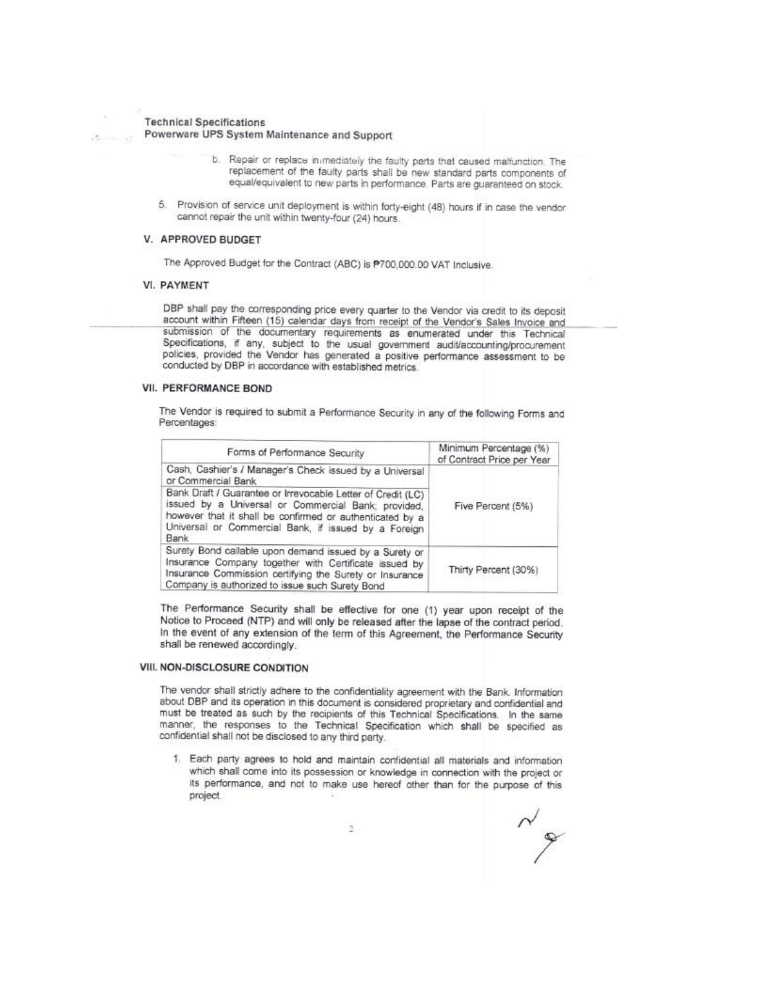#### **Technical Specifications**

# Powerware UPS System Maintenance and Support

- b. Repair or replace in mediately the faulty parts that caused malfunction. The replacement of the faulty parts shall be new standard parts components of equal/equivalent to new parts in performance. Parts are guaranteed on stock.
- 5. Provision of service unit deployment is within forty-eight (48) hours if in case the vendor cannot repair the unit within twenty-four (24) hours.

## V. APPROVED BUDGET

The Approved Budget for the Contract (ABC) is P700,000.00 VAT Inclusive.

## **VI. PAYMENT**

DBP shall pay the corresponding price every quarter to the Vendor via credit to its deposit account within Fifteen (15) calendar days from receipt of the Vendor's Sales Invoice and submission of the documentary requirements as enumerated under this Technical Specifications, if any, subject to the usual government audit/accounting/procurement policies, provided the Vendor has generated a positive performance assessment to be conducted by DBP in accordance with established metrics.

#### **VII. PERFORMANCE BOND**

The Vendor is required to submit a Performance Security in any of the following Forms and Percentages:

| Forms of Performance Security                                                                                                                                                                                                                  | Minimum Percentage (%)<br>of Contract Price per Year |  |
|------------------------------------------------------------------------------------------------------------------------------------------------------------------------------------------------------------------------------------------------|------------------------------------------------------|--|
| Cash, Cashier's / Manager's Check issued by a Universal<br>or Commercial Bank                                                                                                                                                                  | Five Percent (5%)                                    |  |
| Bank Draft / Guarantee or Irrevocable Letter of Credit (LC)<br>issued by a Universal or Commercial Bank; provided,<br>however that it shall be confirmed or authenticated by a<br>Universal or Commercial Bank, if issued by a Foreign<br>Bank |                                                      |  |
| Surety Bond callable upon demand issued by a Surety or<br>Insurance Company together with Certificate issued by<br>Insurance Commission certifying the Surety or Insurance<br>Company is authorized to issue such Surety Bond                  | Thirty Percent (30%)                                 |  |

The Performance Security shall be effective for one (1) year upon receipt of the Notice to Proceed (NTP) and will only be released after the lapse of the contract period. In the event of any extension of the term of this Agreement, the Performance Security shall be renewed accordingly.

# VIII. NON-DISCLOSURE CONDITION

The vendor shall strictly adhere to the confidentiality agreement with the Bank. Information about DBP and its operation in this document is considered proprietary and confidential and must be treated as such by the recipients of this Technical Specifications. In the same manner, the responses to the Technical Specification which shall be specified as confidential shall not be disclosed to any third party.

1. Each party agrees to hold and maintain confidential all materials and information which shall come into its possession or knowledge in connection with the project or its performance, and not to make use hereof other than for the purpose of this project.

 $\mathscr{L}$